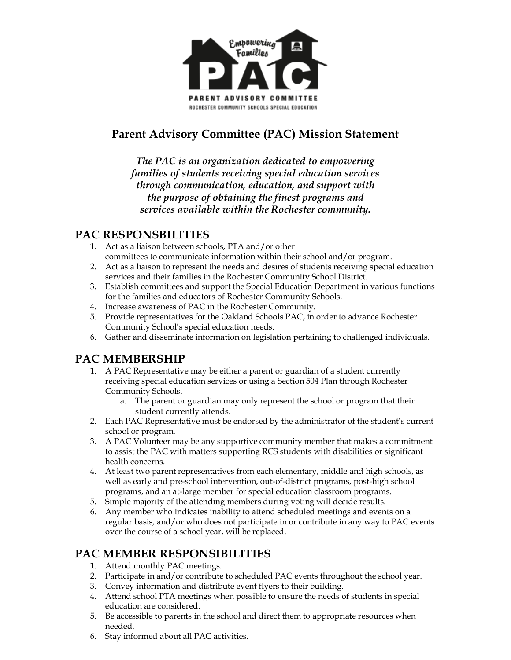

# **Parent Advisory Committee (PAC) Mission Statement**

*The PAC is an organization dedicated to empowering families of students receiving special education services through communication, education, and support with the purpose of obtaining the finest programs and services available within the Rochester community.*

## **PAC RESPONSBILITIES**

- 1. Act as a liaison between schools, PTA and/or other committees to communicate information within their school and/or program.
- 2. Act as a liaison to represent the needs and desires of students receiving special education services and their families in the Rochester Community School District.
- 3. Establish committees and support the Special Education Department in various functions for the families and educators of Rochester Community Schools.
- 4. Increase awareness of PAC in the Rochester Community.
- 5. Provide representatives for the Oakland Schools PAC, in order to advance Rochester Community School's special education needs.
- 6. Gather and disseminate information on legislation pertaining to challenged individuals.

## **PAC MEMBERSHIP**

- 1. A PAC Representative may be either a parent or guardian of a student currently receiving special education services or using a Section 504 Plan through Rochester Community Schools.
	- a. The parent or guardian may only represent the school or program that their student currently attends.
- 2. Each PAC Representative must be endorsed by the administrator of the student's current school or program.
- 3. A PAC Volunteer may be any supportive community member that makes a commitment to assist the PAC with matters supporting RCS students with disabilities or significant health concerns.
- 4. At least two parent representatives from each elementary, middle and high schools, as well as early and pre-school intervention, out-of-district programs, post-high school programs, and an at-large member for special education classroom programs.
- 5. Simple majority of the attending members during voting will decide results.
- 6. Any member who indicates inability to attend scheduled meetings and events on a regular basis, and/or who does not participate in or contribute in any way to PAC events over the course of a school year, will be replaced.

# **PAC MEMBER RESPONSIBILITIES**

- 1. Attend monthly PAC meetings.
- 2. Participate in and/or contribute to scheduled PAC events throughout the school year.
- 3. Convey information and distribute event flyers to their building.
- 4. Attend school PTA meetings when possible to ensure the needs of students in special education are considered.
- 5. Be accessible to parents in the school and direct them to appropriate resources when needed.
- 6. Stay informed about all PAC activities.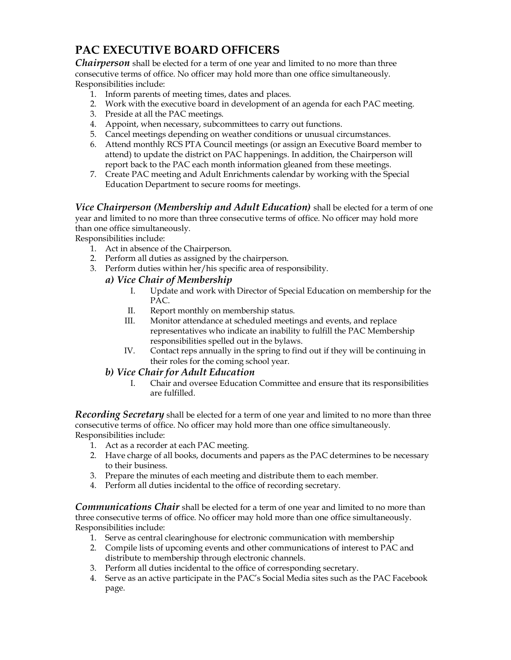# **PAC EXECUTIVE BOARD OFFICERS**

*Chairperson* shall be elected for a term of one year and limited to no more than three consecutive terms of office. No officer may hold more than one office simultaneously. Responsibilities include:

- 1. Inform parents of meeting times, dates and places.
- 2. Work with the executive board in development of an agenda for each PAC meeting.
- 3. Preside at all the PAC meetings.
- 4. Appoint, when necessary, subcommittees to carry out functions.
- 5. Cancel meetings depending on weather conditions or unusual circumstances.
- 6. Attend monthly RCS PTA Council meetings (or assign an Executive Board member to attend) to update the district on PAC happenings. In addition, the Chairperson will report back to the PAC each month information gleaned from these meetings.
- 7. Create PAC meeting and Adult Enrichments calendar by working with the Special Education Department to secure rooms for meetings.

*Vice Chairperson (Membership and Adult Education)* shall be elected for a term of one year and limited to no more than three consecutive terms of office. No officer may hold more than one office simultaneously.

Responsibilities include:

- 1. Act in absence of the Chairperson.
- 2. Perform all duties as assigned by the chairperson.
- 3. Perform duties within her/his specific area of responsibility.

#### *a) Vice Chair of Membership*

- I. Update and work with Director of Special Education on membership for the PAC.
- II. Report monthly on membership status.
- III. Monitor attendance at scheduled meetings and events, and replace representatives who indicate an inability to fulfill the PAC Membership responsibilities spelled out in the bylaws.
- IV. Contact reps annually in the spring to find out if they will be continuing in their roles for the coming school year.

#### *b) Vice Chair for Adult Education*

I. Chair and oversee Education Committee and ensure that its responsibilities are fulfilled.

*Recording Secretary* shall be elected for a term of one year and limited to no more than three consecutive terms of office. No officer may hold more than one office simultaneously. Responsibilities include:

- 1. Act as a recorder at each PAC meeting.
- 2. Have charge of all books, documents and papers as the PAC determines to be necessary to their business.
- 3. Prepare the minutes of each meeting and distribute them to each member.
- 4. Perform all duties incidental to the office of recording secretary.

*Communications Chair* shall be elected for a term of one year and limited to no more than three consecutive terms of office. No officer may hold more than one office simultaneously. Responsibilities include:

- 1. Serve as central clearinghouse for electronic communication with membership
- 2. Compile lists of upcoming events and other communications of interest to PAC and distribute to membership through electronic channels.
- 3. Perform all duties incidental to the office of corresponding secretary.
- 4. Serve as an active participate in the PAC's Social Media sites such as the PAC Facebook page.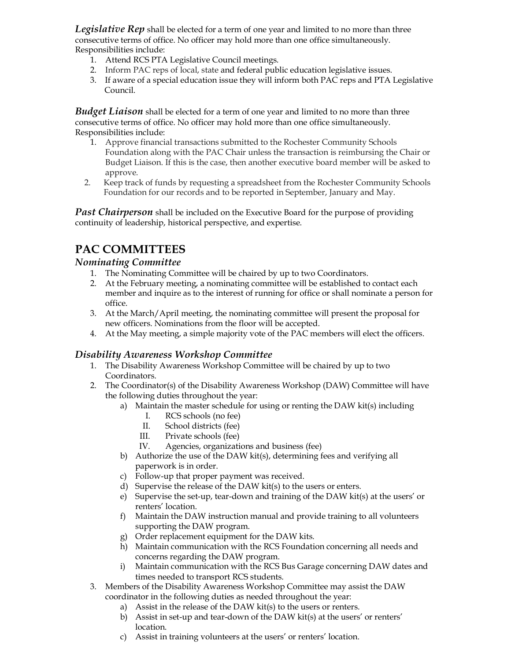*Legislative Rep* shall be elected for a term of one year and limited to no more than three consecutive terms of office. No officer may hold more than one office simultaneously. Responsibilities include:

- 1. Attend RCS PTA Legislative Council meetings.
- 2. Inform PAC reps of local, state and federal public education legislative issues.
- 3. If aware of a special education issue they will inform both PAC reps and PTA Legislative Council.

*Budget Liaison* shall be elected for a term of one year and limited to no more than three consecutive terms of office. No officer may hold more than one office simultaneously. Responsibilities include:

- 1. Approve financial transactions submitted to the Rochester Community Schools Foundation along with the PAC Chair unless the transaction is reimbursing the Chair or Budget Liaison. If this is the case, then another executive board member will be asked to approve.
- 2. Keep track of funds by requesting a spreadsheet from the Rochester Community Schools Foundation for our records and to be reported in September, January and May.

**Past Chairperson** shall be included on the Executive Board for the purpose of providing continuity of leadership, historical perspective, and expertise.

## **PAC COMMITTEES**

#### *Nominating Committee*

- 1. The Nominating Committee will be chaired by up to two Coordinators.
- 2. At the February meeting, a nominating committee will be established to contact each member and inquire as to the interest of running for office or shall nominate a person for office.
- 3. At the March/April meeting, the nominating committee will present the proposal for new officers. Nominations from the floor will be accepted.
- 4. At the May meeting, a simple majority vote of the PAC members will elect the officers.

#### *Disability Awareness Workshop Committee*

- 1. The Disability Awareness Workshop Committee will be chaired by up to two Coordinators.
- 2. The Coordinator(s) of the Disability Awareness Workshop (DAW) Committee will have the following duties throughout the year:
	- a) Maintain the master schedule for using or renting the DAW kit(s) including
		- I. RCS schools (no fee)
		- II. School districts (fee)
		- III. Private schools (fee)
		- IV. Agencies, organizations and business (fee)
	- b) Authorize the use of the DAW kit(s), determining fees and verifying all paperwork is in order.
	- c) Follow-up that proper payment was received.
	- d) Supervise the release of the DAW kit(s) to the users or enters.
	- e) Supervise the set-up, tear-down and training of the DAW kit(s) at the users' or renters' location.
	- f) Maintain the DAW instruction manual and provide training to all volunteers supporting the DAW program.
	- g) Order replacement equipment for the DAW kits.
	- h) Maintain communication with the RCS Foundation concerning all needs and concerns regarding the DAW program.
	- i) Maintain communication with the RCS Bus Garage concerning DAW dates and times needed to transport RCS students.
- 3. Members of the Disability Awareness Workshop Committee may assist the DAW coordinator in the following duties as needed throughout the year:
	- a) Assist in the release of the DAW kit(s) to the users or renters.
	- b) Assist in set-up and tear-down of the DAW kit(s) at the users' or renters' location.
	- c) Assist in training volunteers at the users' or renters' location.